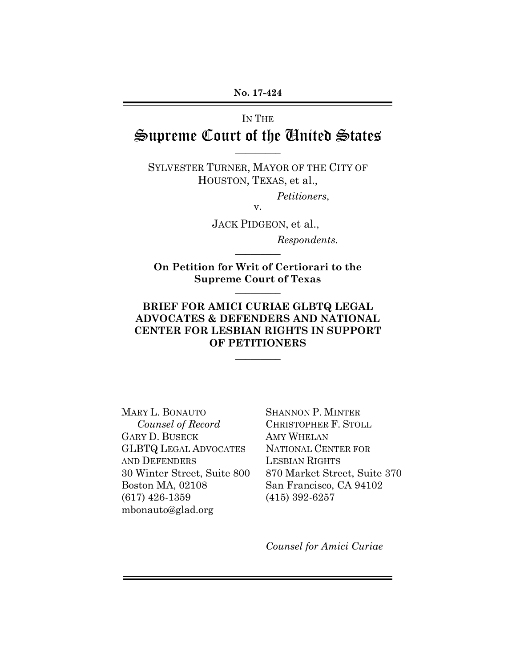# IN THE Supreme Court of the United States

 $\overline{\phantom{a}}$ 

SYLVESTER TURNER, MAYOR OF THE CITY OF HOUSTON, TEXAS, et al.,

*Petitioners*,

v.

JACK PIDGEON, et al.,

*Respondents.*  $\overline{\phantom{a}}$ 

**On Petition for Writ of Certiorari to the Supreme Court of Texas**  $\overline{\phantom{a}}$ 

# **BRIEF FOR AMICI CURIAE GLBTQ LEGAL ADVOCATES & DEFENDERS AND NATIONAL CENTER FOR LESBIAN RIGHTS IN SUPPORT OF PETITIONERS**

 $\overline{\phantom{a}}$ 

MARY L. BONAUTO *Counsel of Record* GARY D. BUSECK GLBTQ LEGAL ADVOCATES AND DEFENDERS 30 Winter Street, Suite 800 Boston MA, 02108 (617) 426-1359 mbonauto@glad.org

SHANNON P. MINTER CHRISTOPHER F. STOLL AMY WHELAN NATIONAL CENTER FOR LESBIAN RIGHTS 870 Market Street, Suite 370 San Francisco, CA 94102 (415) 392-6257

*Counsel for Amici Curiae*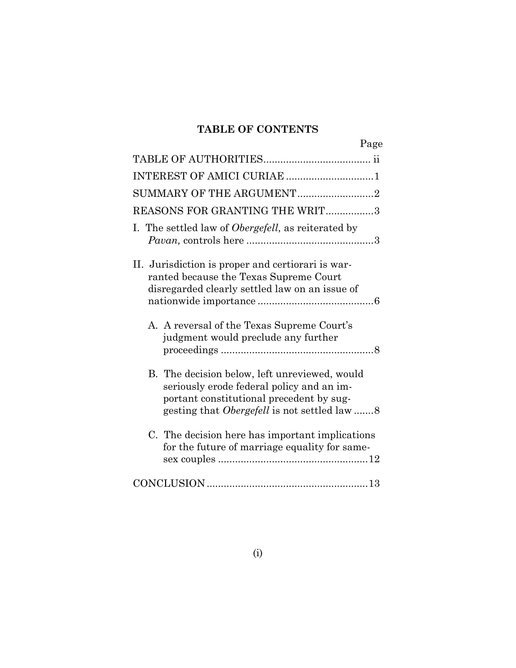# **TABLE OF CONTENTS**

| Page                                                                                                                                                                                        |
|---------------------------------------------------------------------------------------------------------------------------------------------------------------------------------------------|
|                                                                                                                                                                                             |
| INTEREST OF AMICI CURIAE 1                                                                                                                                                                  |
| SUMMARY OF THE ARGUMENT2                                                                                                                                                                    |
| REASONS FOR GRANTING THE WRIT3                                                                                                                                                              |
| I. The settled law of Obergefell, as reiterated by                                                                                                                                          |
| II. Jurisdiction is proper and certiorari is war-<br>ranted because the Texas Supreme Court<br>disregarded clearly settled law on an issue of                                               |
| A. A reversal of the Texas Supreme Court's<br>judgment would preclude any further                                                                                                           |
| B. The decision below, left unreviewed, would<br>seriously erode federal policy and an im-<br>portant constitutional precedent by sug-<br>gesting that <i>Obergefell</i> is not settled law |
| C. The decision here has important implications<br>for the future of marriage equality for same-                                                                                            |
|                                                                                                                                                                                             |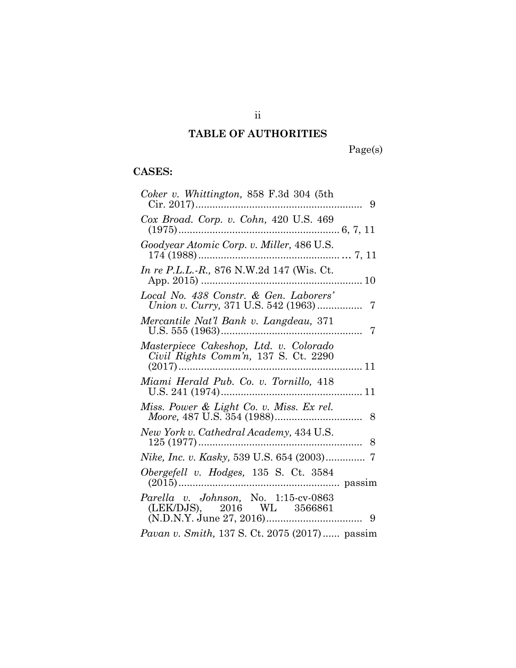# **TABLE OF AUTHORITIES**

Page(s)

# **CASES:**

| Coker v. Whittington, $858$ F.3d 304 (5th                                      |  |
|--------------------------------------------------------------------------------|--|
| Cox Broad. Corp. v. Cohn, 420 U.S. 469<br>$(1975)$                             |  |
| Goodyear Atomic Corp. v. Miller, 486 U.S.<br>$174(1988)$<br>7, 11              |  |
| <i>In re P.L.L.-R.</i> , 876 N.W.2d 147 (Wis. Ct.                              |  |
| Local No. 438 Constr. & Gen. Laborers'                                         |  |
| Mercantile Nat'l Bank v. Langdeau, 371                                         |  |
| Masterpiece Cakeshop, Ltd. v. Colorado<br>Civil Rights Comm'n, 137 S. Ct. 2290 |  |
| Miami Herald Pub. Co. v. Tornillo, 418                                         |  |
| Miss. Power & Light Co. v. Miss. Ex rel.                                       |  |
| New York v. Cathedral Academy, 434 U.S.<br>$125(1977)$                         |  |
| Nike, Inc. v. Kasky, 539 U.S. 654 (2003) 7                                     |  |
| Obergefell v. Hodges, 135 S. Ct. 3584                                          |  |
| Parella v. Johnson, No. 1:15-cv-0863<br>(LEK/DJS), 2016 WL 3566861             |  |
| Pavan v. Smith, 137 S. Ct. 2075 (2017) passim                                  |  |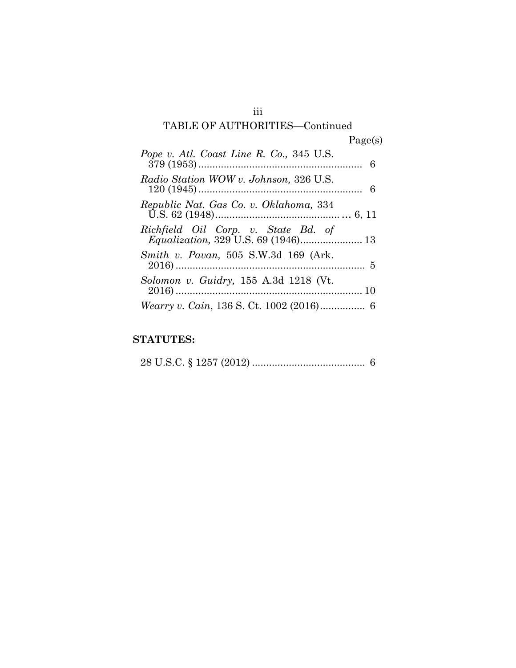## iii

# TABLE OF AUTHORITIES—Continued Page(s)

| Pope v. Atl. Coast Line R. Co., 345 U.S. |  |
|------------------------------------------|--|
| Radio Station WOW v. Johnson, 326 U.S.   |  |
| Republic Nat. Gas Co. v. Oklahoma, 334   |  |
| Richfield Oil Corp. v. State Bd. of      |  |
| Smith v. Pavan, 505 S.W.3d 169 (Ark.     |  |
| Solomon v. Guidry, 155 A.3d 1218 (Vt.    |  |
|                                          |  |

# **STATUTES:**

28 U.S.C. § 1257 (2012) ........................................ 6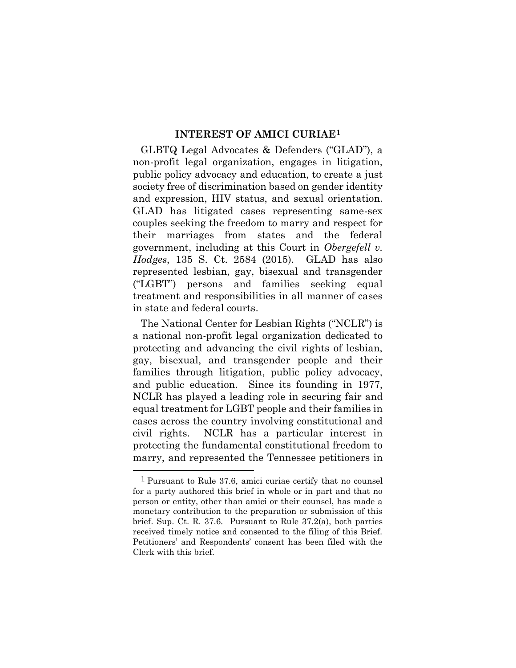#### **INTEREST OF AMICI CURIAE1**

GLBTQ Legal Advocates & Defenders ("GLAD"), a non-profit legal organization, engages in litigation, public policy advocacy and education, to create a just society free of discrimination based on gender identity and expression, HIV status, and sexual orientation. GLAD has litigated cases representing same-sex couples seeking the freedom to marry and respect for their marriages from states and the federal government, including at this Court in *Obergefell v. Hodges*, 135 S. Ct. 2584 (2015). GLAD has also represented lesbian, gay, bisexual and transgender ("LGBT") persons and families seeking equal treatment and responsibilities in all manner of cases in state and federal courts.

The National Center for Lesbian Rights ("NCLR") is a national non-profit legal organization dedicated to protecting and advancing the civil rights of lesbian, gay, bisexual, and transgender people and their families through litigation, public policy advocacy, and public education. Since its founding in 1977, NCLR has played a leading role in securing fair and equal treatment for LGBT people and their families in cases across the country involving constitutional and civil rights. NCLR has a particular interest in protecting the fundamental constitutional freedom to marry, and represented the Tennessee petitioners in

<sup>1</sup> Pursuant to Rule 37.6, amici curiae certify that no counsel for a party authored this brief in whole or in part and that no person or entity, other than amici or their counsel, has made a monetary contribution to the preparation or submission of this brief. Sup. Ct. R. 37.6. Pursuant to Rule 37.2(a), both parties received timely notice and consented to the filing of this Brief. Petitioners' and Respondents' consent has been filed with the Clerk with this brief.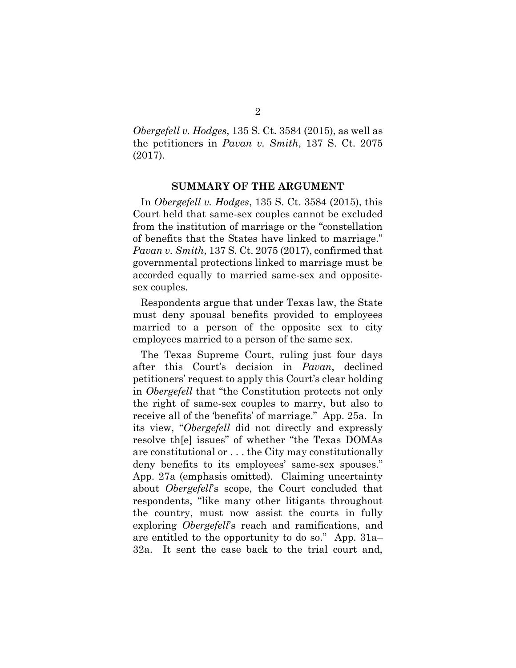*Obergefell v. Hodges*, 135 S. Ct. 3584 (2015), as well as the petitioners in *Pavan v. Smith*, 137 S. Ct. 2075 (2017).

#### **SUMMARY OF THE ARGUMENT**

In *Obergefell v. Hodges*, 135 S. Ct. 3584 (2015), this Court held that same-sex couples cannot be excluded from the institution of marriage or the "constellation of benefits that the States have linked to marriage." *Pavan v. Smith*, 137 S. Ct. 2075 (2017), confirmed that governmental protections linked to marriage must be accorded equally to married same-sex and oppositesex couples.

Respondents argue that under Texas law, the State must deny spousal benefits provided to employees married to a person of the opposite sex to city employees married to a person of the same sex.

The Texas Supreme Court, ruling just four days after this Court's decision in *Pavan*, declined petitioners' request to apply this Court's clear holding in *Obergefell* that "the Constitution protects not only the right of same-sex couples to marry, but also to receive all of the 'benefits' of marriage." App. 25a. In its view, "*Obergefell* did not directly and expressly resolve th[e] issues" of whether "the Texas DOMAs are constitutional or . . . the City may constitutionally deny benefits to its employees' same-sex spouses." App. 27a (emphasis omitted). Claiming uncertainty about *Obergefell*'s scope, the Court concluded that respondents, "like many other litigants throughout the country, must now assist the courts in fully exploring *Obergefell*'s reach and ramifications, and are entitled to the opportunity to do so." App. 31a– 32a. It sent the case back to the trial court and,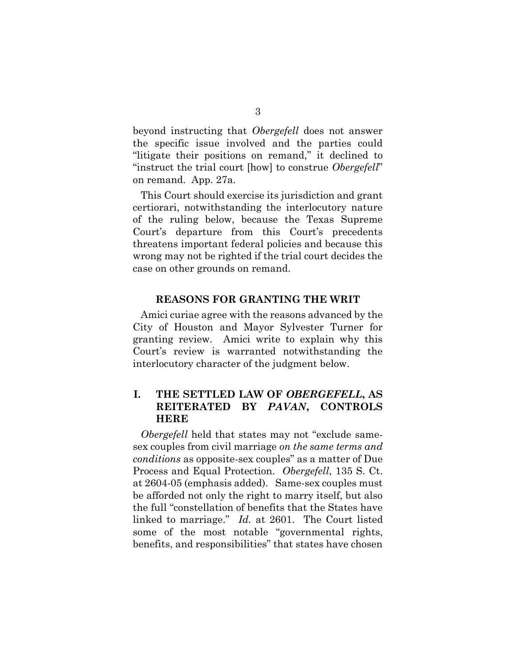beyond instructing that *Obergefell* does not answer the specific issue involved and the parties could "litigate their positions on remand," it declined to "instruct the trial court [how] to construe *Obergefell*" on remand. App. 27a.

This Court should exercise its jurisdiction and grant certiorari, notwithstanding the interlocutory nature of the ruling below, because the Texas Supreme Court's departure from this Court's precedents threatens important federal policies and because this wrong may not be righted if the trial court decides the case on other grounds on remand.

#### **REASONS FOR GRANTING THE WRIT**

Amici curiae agree with the reasons advanced by the City of Houston and Mayor Sylvester Turner for granting review. Amici write to explain why this Court's review is warranted notwithstanding the interlocutory character of the judgment below.

### **I. THE SETTLED LAW OF** *OBERGEFELL***, AS REITERATED BY** *PAVAN***, CONTROLS HERE**

*Obergefell* held that states may not "exclude samesex couples from civil marriage *on the same terms and conditions* as opposite-sex couples" as a matter of Due Process and Equal Protection. *Obergefell*, 135 S. Ct. at 2604-05 (emphasis added). Same-sex couples must be afforded not only the right to marry itself, but also the full "constellation of benefits that the States have linked to marriage." *Id.* at 2601. The Court listed some of the most notable "governmental rights, benefits, and responsibilities" that states have chosen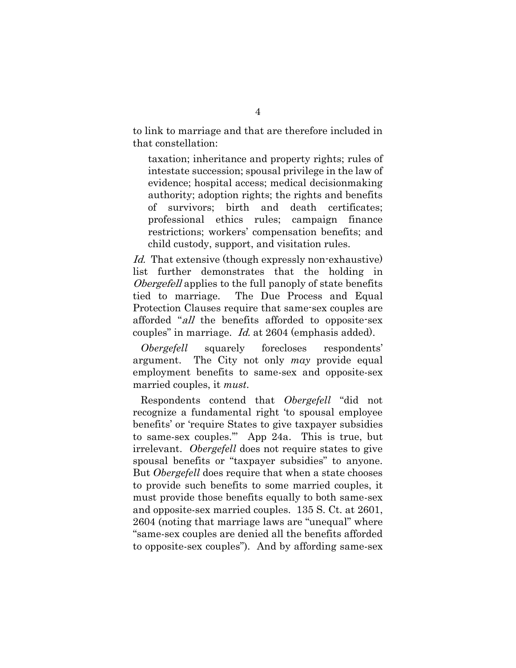to link to marriage and that are therefore included in that constellation:

taxation; inheritance and property rights; rules of intestate succession; spousal privilege in the law of evidence; hospital access; medical decisionmaking authority; adoption rights; the rights and benefits of survivors; birth and death certificates; professional ethics rules; campaign finance restrictions; workers' compensation benefits; and child custody, support, and visitation rules.

Id. That extensive (though expressly non-exhaustive) list further demonstrates that the holding in Obergefell applies to the full panoply of state benefits tied to marriage. The Due Process and Equal Protection Clauses require that same-sex couples are afforded "all the benefits afforded to opposite-sex couples" in marriage. Id. at 2604 (emphasis added).

*Obergefell* squarely forecloses respondents' argument. The City not only *may* provide equal employment benefits to same-sex and opposite-sex married couples, it *must*.

Respondents contend that *Obergefell* "did not recognize a fundamental right 'to spousal employee benefits' or 'require States to give taxpayer subsidies to same-sex couples.'" App 24a. This is true, but irrelevant. *Obergefell* does not require states to give spousal benefits or "taxpayer subsidies" to anyone. But *Obergefell* does require that when a state chooses to provide such benefits to some married couples, it must provide those benefits equally to both same-sex and opposite-sex married couples. 135 S. Ct. at 2601, 2604 (noting that marriage laws are "unequal" where "same-sex couples are denied all the benefits afforded to opposite-sex couples"). And by affording same-sex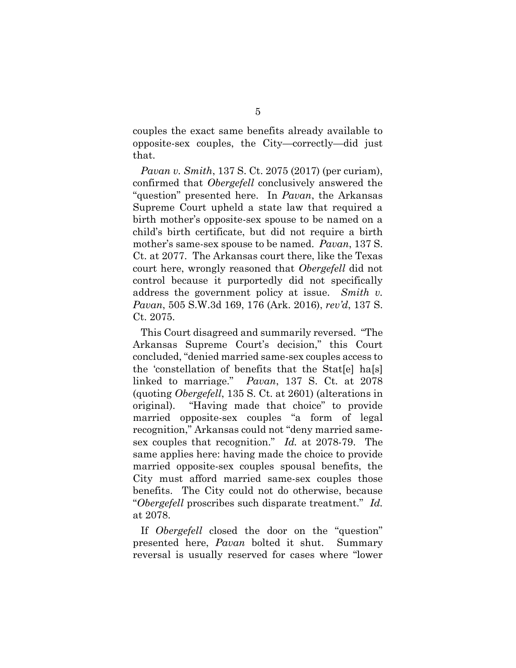couples the exact same benefits already available to opposite-sex couples, the City—correctly—did just that.

*Pavan v. Smith*, 137 S. Ct. 2075 (2017) (per curiam), confirmed that *Obergefell* conclusively answered the "question" presented here. In *Pavan*, the Arkansas Supreme Court upheld a state law that required a birth mother's opposite-sex spouse to be named on a child's birth certificate, but did not require a birth mother's same-sex spouse to be named. *Pavan*, 137 S. Ct. at 2077. The Arkansas court there, like the Texas court here, wrongly reasoned that *Obergefell* did not control because it purportedly did not specifically address the government policy at issue. *Smith v. Pavan*, 505 S.W.3d 169, 176 (Ark. 2016), *rev'd*, 137 S. Ct. 2075.

This Court disagreed and summarily reversed. "The Arkansas Supreme Court's decision," this Court concluded, "denied married same-sex couples access to the 'constellation of benefits that the Stat[e] ha[s] linked to marriage." *Pavan*, 137 S. Ct. at 2078 (quoting *Obergefell*, 135 S. Ct. at 2601) (alterations in original). "Having made that choice" to provide married opposite-sex couples "a form of legal recognition," Arkansas could not "deny married samesex couples that recognition." *Id.* at 2078-79. The same applies here: having made the choice to provide married opposite-sex couples spousal benefits, the City must afford married same-sex couples those benefits. The City could not do otherwise, because "*Obergefell* proscribes such disparate treatment." *Id.* at 2078.

If *Obergefell* closed the door on the "question" presented here, *Pavan* bolted it shut. Summary reversal is usually reserved for cases where "lower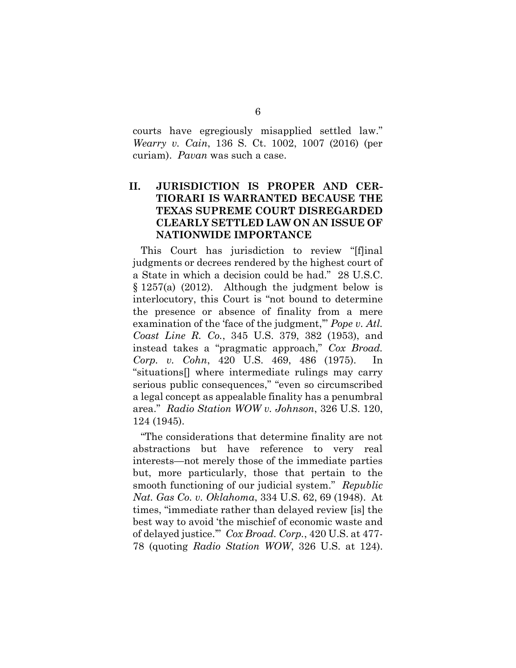courts have egregiously misapplied settled law." *Wearry v. Cain*, 136 S. Ct. 1002, 1007 (2016) (per curiam). *Pavan* was such a case.

### **II. JURISDICTION IS PROPER AND CER-TIORARI IS WARRANTED BECAUSE THE TEXAS SUPREME COURT DISREGARDED CLEARLY SETTLED LAW ON AN ISSUE OF NATIONWIDE IMPORTANCE**

This Court has jurisdiction to review "[f]inal judgments or decrees rendered by the highest court of a State in which a decision could be had." 28 U.S.C.  $\S 1257(a)$  (2012). Although the judgment below is interlocutory, this Court is "not bound to determine the presence or absence of finality from a mere examination of the 'face of the judgment,'" *Pope v. Atl. Coast Line R. Co.*, 345 U.S. 379, 382 (1953), and instead takes a "pragmatic approach," *Cox Broad. Corp. v. Cohn*, 420 U.S. 469, 486 (1975). In "situations[] where intermediate rulings may carry serious public consequences," "even so circumscribed a legal concept as appealable finality has a penumbral area." *Radio Station WOW v. Johnson*, 326 U.S. 120, 124 (1945).

"The considerations that determine finality are not abstractions but have reference to very real interests—not merely those of the immediate parties but, more particularly, those that pertain to the smooth functioning of our judicial system." *Republic Nat. Gas Co. v. Oklahoma*, 334 U.S. 62, 69 (1948). At times, "immediate rather than delayed review [is] the best way to avoid 'the mischief of economic waste and of delayed justice.'" *Cox Broad. Corp.*, 420 U.S. at 477- 78 (quoting *Radio Station WOW*, 326 U.S. at 124).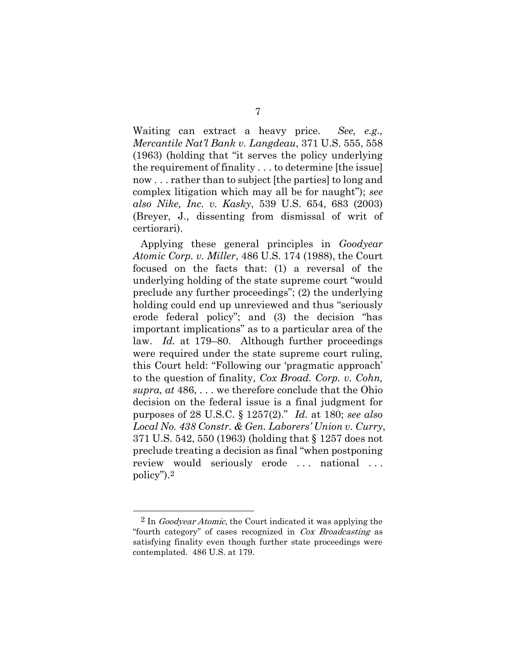Waiting can extract a heavy price. *See, e.g., Mercantile Nat'l Bank v. Langdeau*, 371 U.S. 555, 558 (1963) (holding that "it serves the policy underlying the requirement of finality . . . to determine [the issue] now . . . rather than to subject [the parties] to long and complex litigation which may all be for naught"); *see also Nike, Inc. v. Kasky*, 539 U.S. 654, 683 (2003) (Breyer, J., dissenting from dismissal of writ of certiorari).

Applying these general principles in *Goodyear Atomic Corp. v. Miller*, 486 U.S. 174 (1988), the Court focused on the facts that: (1) a reversal of the underlying holding of the state supreme court "would preclude any further proceedings"; (2) the underlying holding could end up unreviewed and thus "seriously erode federal policy"; and (3) the decision "has important implications" as to a particular area of the law. *Id.* at 179–80. Although further proceedings were required under the state supreme court ruling, this Court held: "Following our 'pragmatic approach' to the question of finality, *Cox Broad. Corp. v. Cohn, supra, at* 486, . . . we therefore conclude that the Ohio decision on the federal issue is a final judgment for purposes of 28 U.S.C. § 1257(2)." *Id.* at 180; *see also Local No. 438 Constr. & Gen. Laborers' Union v. Curry*, 371 U.S. 542, 550 (1963) (holding that § 1257 does not preclude treating a decision as final "when postponing review would seriously erode ... national ... policy").2

 $2 \text{ In } \textit{Goodyear}$  Atomic, the Court indicated it was applying the "fourth category" of cases recognized in Cox Broadcasting as satisfying finality even though further state proceedings were contemplated. 486 U.S. at 179.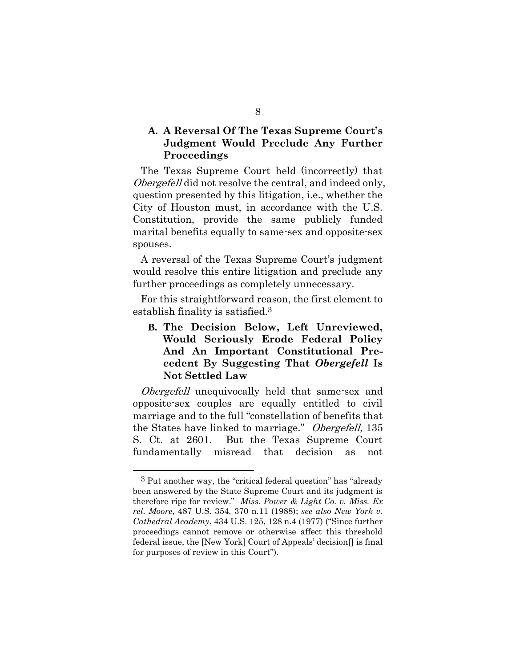### **A. A Reversal Of The Texas Supreme Court's Judgment Would Preclude Any Further Proceedings**

The Texas Supreme Court held (incorrectly) that Obergefell did not resolve the central, and indeed only, question presented by this litigation, i.e., whether the City of Houston must, in accordance with the U.S. Constitution, provide the same publicly funded marital benefits equally to same-sex and opposite-sex spouses.

A reversal of the Texas Supreme Court's judgment would resolve this entire litigation and preclude any further proceedings as completely unnecessary.

For this straightforward reason, the first element to establish finality is satisfied. 3

## **B. The Decision Below, Left Unreviewed, Would Seriously Erode Federal Policy And An Important Constitutional Precedent By Suggesting That** *Obergefell* **Is Not Settled Law**

*Obergefell* unequivocally held that same-sex and opposite-sex couples are equally entitled to civil marriage and to the full "constellation of benefits that the States have linked to marriage." Obergefell, 135 S. Ct. at 2601. But the Texas Supreme Court fundamentally misread that decision as not

<sup>3</sup> Put another way, the "critical federal question" has "already been answered by the State Supreme Court and its judgment is therefore ripe for review." *Miss. Power & Light Co. v. Miss. Ex rel. Moore*, 487 U.S. 354, 370 n.11 (1988); *see also New York v. Cathedral Academy*, 434 U.S. 125, 128 n.4 (1977) ("Since further proceedings cannot remove or otherwise affect this threshold federal issue, the [New York] Court of Appeals' decision[] is final for purposes of review in this Court").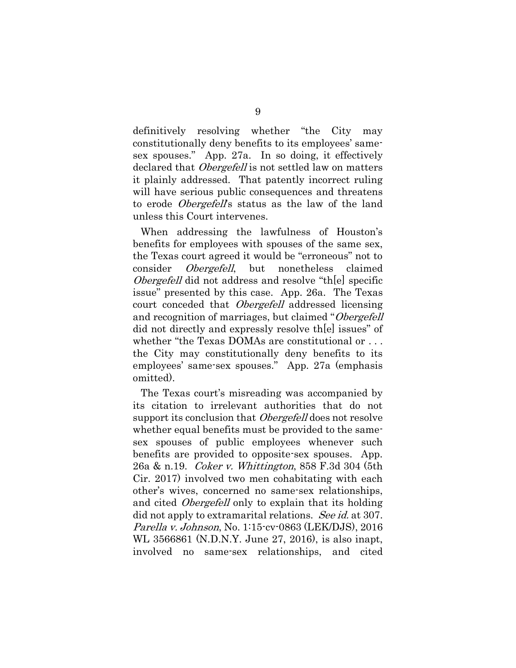definitively resolving whether "the City may constitutionally deny benefits to its employees' samesex spouses." App. 27a. In so doing, it effectively declared that *Obergefell* is not settled law on matters it plainly addressed. That patently incorrect ruling will have serious public consequences and threatens to erode *Obergefell's* status as the law of the land unless this Court intervenes.

When addressing the lawfulness of Houston's benefits for employees with spouses of the same sex, the Texas court agreed it would be "erroneous" not to consider Obergefell, but nonetheless claimed *Obergefell* did not address and resolve "the specific" issue" presented by this case. App. 26a. The Texas court conceded that *Obergefell* addressed licensing and recognition of marriages, but claimed "Obergefell did not directly and expressly resolve th[e] issues" of whether "the Texas DOMAs are constitutional or . . . the City may constitutionally deny benefits to its employees' same-sex spouses." App. 27a (emphasis omitted).

The Texas court's misreading was accompanied by its citation to irrelevant authorities that do not support its conclusion that *Obergefell* does not resolve whether equal benefits must be provided to the samesex spouses of public employees whenever such benefits are provided to opposite-sex spouses. App. 26a & n.19. Coker v. Whittington, 858 F.3d 304 (5th Cir. 2017) involved two men cohabitating with each other's wives, concerned no same-sex relationships, and cited *Obergefell* only to explain that its holding did not apply to extramarital relations. See id. at 307. Parella v. Johnson, No. 1:15-cv-0863 (LEK/DJS), 2016 WL 3566861 (N.D.N.Y. June 27, 2016), is also inapt, involved no same-sex relationships, and cited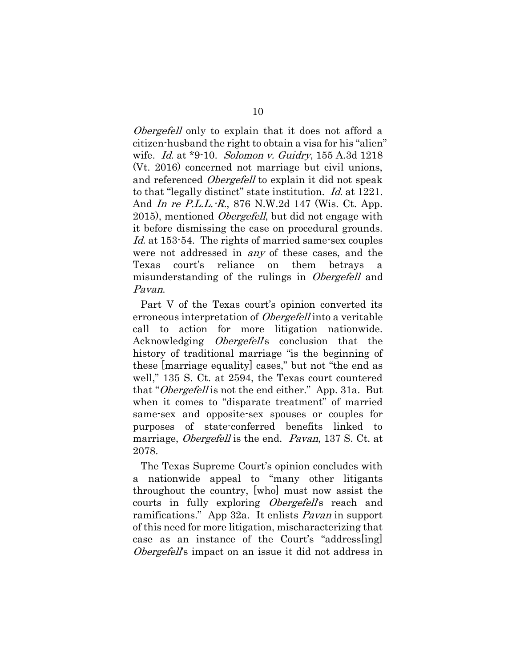*Obergefell* only to explain that it does not afford a citizen-husband the right to obtain a visa for his "alien" wife. *Id.* at \*9-10. *Solomon v. Guidry*, 155 A.3d 1218 (Vt. 2016) concerned not marriage but civil unions, and referenced *Obergefell* to explain it did not speak to that "legally distinct" state institution. Id. at 1221. And In re P.L.L.-R., 876 N.W.2d 147 (Wis. Ct. App. 2015), mentioned *Obergefell*, but did not engage with it before dismissing the case on procedural grounds. Id. at 153-54. The rights of married same-sex couples were not addressed in any of these cases, and the Texas court's reliance on them betrays a misunderstanding of the rulings in *Obergefell* and Pavan.

Part V of the Texas court's opinion converted its erroneous interpretation of *Obergefell* into a veritable call to action for more litigation nationwide. Acknowledging *Obergefell's* conclusion that the history of traditional marriage "is the beginning of these [marriage equality] cases," but not "the end as well," 135 S. Ct. at 2594, the Texas court countered that "Obergefell is not the end either." App. 31a. But when it comes to "disparate treatment" of married same-sex and opposite-sex spouses or couples for purposes of state-conferred benefits linked to marriage, *Obergefell* is the end. *Pavan*, 137 S. Ct. at 2078.

The Texas Supreme Court's opinion concludes with a nationwide appeal to "many other litigants throughout the country, [who] must now assist the courts in fully exploring *Obergefell*'s reach and ramifications." App 32a. It enlists Pavan in support of this need for more litigation, mischaracterizing that case as an instance of the Court's "address[ing] Obergefell's impact on an issue it did not address in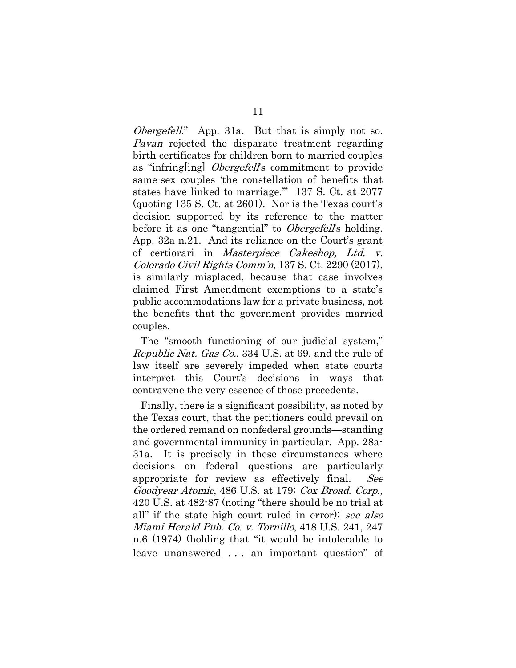*Obergefell.*" App. 31a. But that is simply not so. Pavan rejected the disparate treatment regarding birth certificates for children born to married couples as "infring [ing] *Obergefell*'s commitment to provide same-sex couples 'the constellation of benefits that states have linked to marriage.'" 137 S. Ct. at 2077 (quoting 135 S. Ct. at 2601). Nor is the Texas court's decision supported by its reference to the matter before it as one "tangential" to *Obergefell*'s holding. App. 32a n.21. And its reliance on the Court's grant of certiorari in Masterpiece Cakeshop, Ltd. v. Colorado Civil Rights Comm'n, 137 S. Ct. 2290 (2017), is similarly misplaced, because that case involves claimed First Amendment exemptions to a state's public accommodations law for a private business, not the benefits that the government provides married couples.

The "smooth functioning of our judicial system," Republic Nat. Gas Co., 334 U.S. at 69, and the rule of law itself are severely impeded when state courts interpret this Court's decisions in ways that contravene the very essence of those precedents.

Finally, there is a significant possibility, as noted by the Texas court, that the petitioners could prevail on the ordered remand on nonfederal grounds—standing and governmental immunity in particular. App. 28a-31a. It is precisely in these circumstances where decisions on federal questions are particularly appropriate for review as effectively final. See Goodyear Atomic, 486 U.S. at 179; Cox Broad. Corp., 420 U.S. at 482-87 (noting "there should be no trial at all" if the state high court ruled in error); see also Miami Herald Pub. Co. v. Tornillo, 418 U.S. 241, 247 n.6 (1974) (holding that "it would be intolerable to leave unanswered . . . an important question" of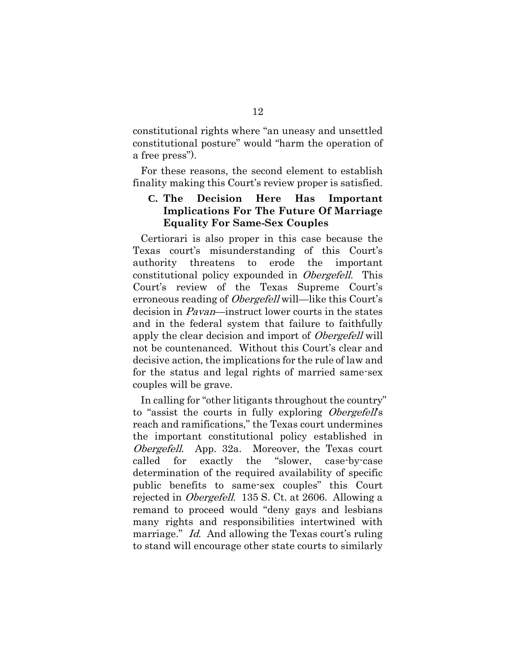constitutional rights where "an uneasy and unsettled constitutional posture" would "harm the operation of a free press").

For these reasons, the second element to establish finality making this Court's review proper is satisfied.

### **C. The Decision Here Has Important Implications For The Future Of Marriage Equality For Same-Sex Couples**

Certiorari is also proper in this case because the Texas court's misunderstanding of this Court's authority threatens to erode the important constitutional policy expounded in Obergefell. This Court's review of the Texas Supreme Court's erroneous reading of *Obergefell* will—like this Court's decision in Pavan—instruct lower courts in the states and in the federal system that failure to faithfully apply the clear decision and import of *Obergefell* will not be countenanced. Without this Court's clear and decisive action, the implications for the rule of law and for the status and legal rights of married same-sex couples will be grave.

In calling for "other litigants throughout the country" to "assist the courts in fully exploring Obergefell's reach and ramifications," the Texas court undermines the important constitutional policy established in Obergefell. App. 32a. Moreover, the Texas court called for exactly the "slower, case-by-case determination of the required availability of specific public benefits to same-sex couples" this Court rejected in Obergefell. 135 S. Ct. at 2606. Allowing a remand to proceed would "deny gays and lesbians many rights and responsibilities intertwined with marriage." Id. And allowing the Texas court's ruling to stand will encourage other state courts to similarly